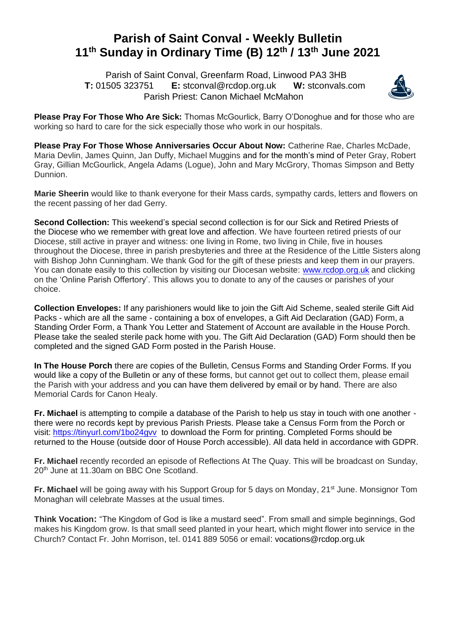## **Parish of Saint Conval - Weekly Bulletin 11th Sunday in Ordinary Time (B) 12th / 13th June 2021**

 Parish of Saint Conval, Greenfarm Road, Linwood PA3 3HB **T:** 01505 323751 **E:** [stconval@rcdop.org.uk](mailto:stconval@rcdop.org.uk) **W:** stconvals.com Parish Priest: Canon Michael McMahon



**Please Pray For Those Who Are Sick:** Thomas McGourlick, Barry O'Donoghue and for those who are working so hard to care for the sick especially those who work in our hospitals.

**Please Pray For Those Whose Anniversaries Occur About Now:** Catherine Rae, Charles McDade, Maria Devlin, James Quinn, Jan Duffy, Michael Muggins and for the month's mind of Peter Gray, Robert Gray, Gillian McGourlick, Angela Adams (Logue), John and Mary McGrory, Thomas Simpson and Betty Dunnion.

**Marie Sheerin** would like to thank everyone for their Mass cards, sympathy cards, letters and flowers on the recent passing of her dad Gerry.

**Second Collection:** This weekend's special second collection is for our Sick and Retired Priests of the Diocese who we remember with great love and affection. We have fourteen retired priests of our Diocese, still active in prayer and witness: one living in Rome, two living in Chile, five in houses throughout the Diocese, three in parish presbyteries and three at the Residence of the Little Sisters along with Bishop John Cunningham. We thank God for the gift of these priests and keep them in our prayers. You can donate easily to this collection by visiting our Diocesan website: [www.rcdop.org.uk](http://www.rcdop.org.uk/) and clicking on the 'Online Parish Offertory'. This allows you to donate to any of the causes or parishes of your choice.

**Collection Envelopes:** If any parishioners would like to join the Gift Aid Scheme, sealed sterile Gift Aid Packs - which are all the same - containing a box of envelopes, a Gift Aid Declaration (GAD) Form, a Standing Order Form, a Thank You Letter and Statement of Account are available in the House Porch. Please take the sealed sterile pack home with you. The Gift Aid Declaration (GAD) Form should then be completed and the signed GAD Form posted in the Parish House.

**In The House Porch** there are copies of the Bulletin, Census Forms and Standing Order Forms. If you would like a copy of the Bulletin or any of these forms, but cannot get out to collect them, please email the Parish with your address and you can have them delivered by email or by hand. There are also Memorial Cards for Canon Healy.

**Fr. Michael** is attempting to compile a database of the Parish to help us stay in touch with one another there were no records kept by previous Parish Priests. Please take a Census Form from the Porch or visit:<https://tinyurl.com/1bo24gvv> to download the Form for printing. Completed Forms should be returned to the House (outside door of House Porch accessible). All data held in accordance with GDPR.

**Fr. Michael** recently recorded an episode of Reflections At The Quay. This will be broadcast on Sunday, 20<sup>th</sup> June at 11.30am on BBC One Scotland.

**Fr. Michael** will be going away with his Support Group for 5 days on Monday, 21<sup>st</sup> June. Monsignor Tom Monaghan will celebrate Masses at the usual times.

**Think Vocation:** "The Kingdom of God is like a mustard seed". From small and simple beginnings, God makes his Kingdom grow. Is that small seed planted in your heart, which might flower into service in the Church? Contact Fr. John Morrison, tel. 0141 889 5056 or email: [vocations@rcdop.org.uk](mailto:vocations@rcdop.org.uk)